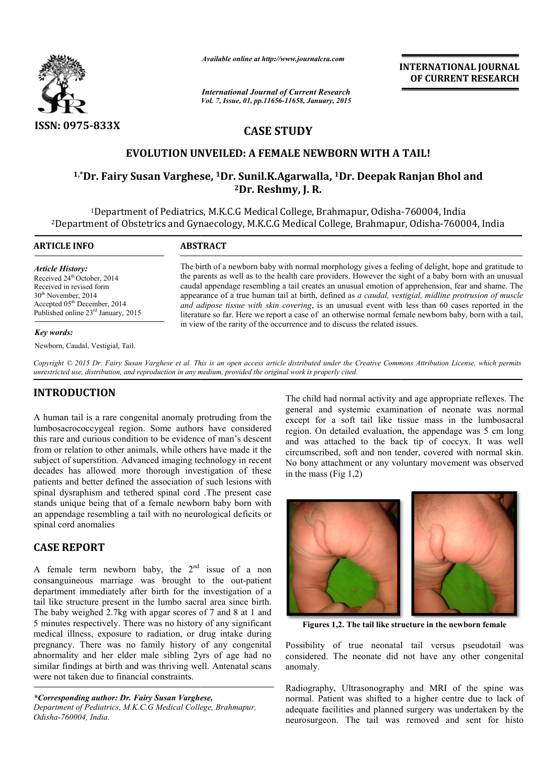

*Available online at http://www.journalcra.com*

*International Journal of Current Research Vol. 7, Issue, 01, pp.11656-11658, January, 2015* **INTERNATIONAL INTERNATIONAL JOURNAL OF CURRENT RESEARCH** 

# **CASE STUDY**

## **EVOLUTION UNVEILED: A FEMALE NEWBORN WITH A TAIL!**

## **1,\*Dr. Fairy Susan Varghese, Dr. 1Dr. Sunil.K.Agarwalla, 1Dr. Deepak Ranjan Deepak Ranjan Bhol and 2Dr. Reshmy, J. R.**

<sup>1</sup>Department of Pediatrics, M.K.C.G Medical College, Brahmapur, Odisha-760004, India 2Department of Obstetrics and Gynaecology, M.K.C.G Medical College, Brahmapur, Odisha partment of Pediatrics, M.K.C.G Medical<br>t of Obstetrics and Gynaecology, M.K.C.G<br>———————————————————— Odisha-760004, India

| <b>ARTICLE INFO</b>                                                                                              | <b>ABSTRACT</b>                                                                                                                                                                                                                                                                                                                                                                                                               |
|------------------------------------------------------------------------------------------------------------------|-------------------------------------------------------------------------------------------------------------------------------------------------------------------------------------------------------------------------------------------------------------------------------------------------------------------------------------------------------------------------------------------------------------------------------|
| Article History:<br>Received 24 <sup>th</sup> October, 2014<br>Received in revised form<br>$30th$ November, 2014 | The birth of a newborn baby with normal morphology gives a feeling of delight, hope and gratitude to<br>the parents as well as to the health care providers. However the sight of a baby born with an unusual<br>caudal appendage resembling a tail creates an unusual emotion of apprehension, fear and shame. The<br>appearance of a true human tail at birth, defined as a caudal, vestigial, midline protrusion of muscle |
| Accepted $05th$ December, 2014                                                                                   | and adipose tissue with skin covering, is an unusual event with less than 60 cases reported in the                                                                                                                                                                                                                                                                                                                            |

#### *Key words:*

Newborn, Caudal, Vestigial, Tail.

Published online 23rd January, 2015

*and adipose tissue with skin covering* , is an unusual event with less than 60 cases reported in the literatu literature so far. Here we report a case of an otherwise normal female newborn baby, born with a tail, in view of the rarity of the occurrence and to discuss the related issues. *d adipose tissue with skin covering*, is an unusual event with less than 60 cases reported erature so far. Here we report a case of an otherwise normal female newborn baby, born with view of the rarity of the occurrence a

Copyright © 2015 Dr. Fairy Susan Varghese et al. This is an open access article distributed under the Creative Commons Attribution License, which permits *unrestricted use, distribution, and reproduction in any medium, provided the original work is properly cited.*

### **INTRODUCTION**

A human tail is a rare congenital anomaly protruding from the lumbosacrococcygeal region. Some authors have considered this rare and curious condition to be evidence of man's descent from or relation to other animals, while others have made it the subject of superstition. Advanced imaging technology in recent decades has allowed more thorough investigation of these patients and better defined the association of such lesions with spinal dysraphism and tethered spinal cord .The present case stands unique being that of a female newborn baby born with an appendage resembling a tail with no neurological deficits or spinal cord anomalies from or relation to other animals, while others have made it the<br>subject of superstition. Advanced imaging technology in recent<br>decades has allowed more thorough investigation of these<br>patients and better defined the asso

## **CASE REPORT**

f

consanguineous marriage was brought to the out-patient department immediately after birth for the investigation of a tail like structure present in the lumbo sacral area since birth. The baby weighed 2.7kg with apgar scores of 7 and 8 at 1 and 5 minutes respectively. There was no history of any significant medical illness, exposure to radiation, or drug intake during pregnancy. There was no family history of any congenital abnormality and her elder male sibling 2yrs of age had no similar findings at birth and was thriving well. Antenatal scans were not taken due to financial constraints.

*\*Corresponding author: Dr. Fairy Susan Varghese Varghese, Department of Pediatrics, M.K.C.G Medical College, Brahmapur, Odisha-760004, India.*

The child had normal activity and age appropriate reflexes. The general and systemic examination of neonate was normal except for a soft tail like tissue mass in the lumbosacral region. On detailed evaluation, the appendage was 5 cm long and was attached to the back tip of coccyx. It was well circumscribed, soft and non tender, covered with normal skin. No bony attachment or any voluntary movement was observed in the mass (Fig 1,2)



**Figures 1,2. The tail like structure in the newborn female**

Possibility of true neonatal tail versus pseudotail was considered. The neonate did not have any other congenital anomaly.

Radiography, Ultrasonography and MRI of the spine was normal. Patient was shifted to a higher centre due to lack of adequate facilities and planned surgery was undertaken by the neurosurgeon. The tail was removed and sent for histo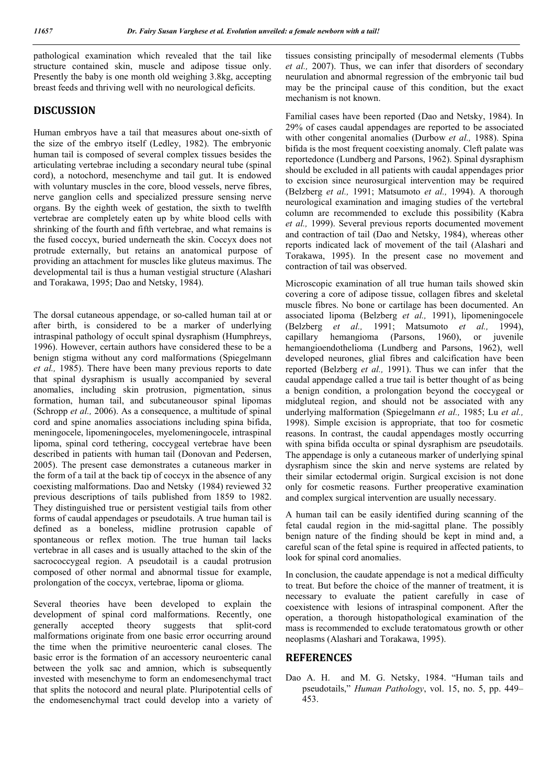pathological examination which revealed that the tail like structure contained skin, muscle and adipose tissue only. Presently the baby is one month old weighing 3.8kg, accepting breast feeds and thriving well with no neurological deficits.

### **DISCUSSION**

Human embryos have a tail that measures about one-sixth of the size of the embryo itself (Ledley, 1982). The embryonic human tail is composed of several complex tissues besides the articulating vertebrae including a secondary neural tube (spinal cord), a notochord, mesenchyme and tail gut. It is endowed with voluntary muscles in the core, blood vessels, nerve fibres, nerve ganglion cells and specialized pressure sensing nerve organs. By the eighth week of gestation, the sixth to twelfth vertebrae are completely eaten up by white blood cells with shrinking of the fourth and fifth vertebrae, and what remains is the fused coccyx, buried underneath the skin. Coccyx does not protrude externally, but retains an anatomical purpose of providing an attachment for muscles like gluteus maximus. The developmental tail is thus a human vestigial structure (Alashari and Torakawa, 1995; Dao and Netsky, 1984).

The dorsal cutaneous appendage, or so-called human tail at or after birth, is considered to be a marker of underlying intraspinal pathology of occult spinal dysraphism (Humphreys, 1996). However, certain authors have considered these to be a benign stigma without any cord malformations (Spiegelmann *et al.,* 1985). There have been many previous reports to date that spinal dysraphism is usually accompanied by several anomalies, including skin protrusion, pigmentation, sinus formation, human tail, and subcutaneousor spinal lipomas (Schropp *et al.,* 2006). As a consequence, a multitude of spinal cord and spine anomalies associations including spina bifida, meningocele, lipomeningoceles, myelomeningocele, intraspinal lipoma, spinal cord tethering, coccygeal vertebrae have been described in patients with human tail (Donovan and Pedersen, 2005). The present case demonstrates a cutaneous marker in the form of a tail at the back tip of coccyx in the absence of any coexisting malformations. Dao and Netsky (1984) reviewed 32 previous descriptions of tails published from 1859 to 1982. They distinguished true or persistent vestigial tails from other forms of caudal appendages or pseudotails. A true human tail is defined as a boneless, midline protrusion capable of spontaneous or reflex motion. The true human tail lacks vertebrae in all cases and is usually attached to the skin of the sacrococcygeal region. A pseudotail is a caudal protrusion composed of other normal and abnormal tissue for example, prolongation of the coccyx, vertebrae, lipoma or glioma.

Several theories have been developed to explain the development of spinal cord malformations. Recently, one<br>generally accepted theory suggests that split-cord accepted theory suggests that split-cord malformations originate from one basic error occurring around the time when the primitive neuroenteric canal closes. The basic error is the formation of an accessory neuroenteric canal between the yolk sac and amnion, which is subsequently invested with mesenchyme to form an endomesenchymal tract that splits the notocord and neural plate. Pluripotential cells of the endomesenchymal tract could develop into a variety of tissues consisting principally of mesodermal elements (Tubbs *et al.,* 2007). Thus, we can infer that disorders of secondary neurulation and abnormal regression of the embryonic tail bud may be the principal cause of this condition, but the exact mechanism is not known.

Familial cases have been reported (Dao and Netsky, 1984). In 29% of cases caudal appendages are reported to be associated with other congenital anomalies (Durbow *et al.,* 1988). Spina bifida is the most frequent coexisting anomaly. Cleft palate was reportedonce (Lundberg and Parsons, 1962). Spinal dysraphism should be excluded in all patients with caudal appendages prior to excision since neurosurgical intervention may be required (Belzberg *et al.,* 1991; Matsumoto *et al.,* 1994). A thorough neurological examination and imaging studies of the vertebral column are recommended to exclude this possibility (Kabra *et al.,* 1999). Several previous reports documented movement and contraction of tail (Dao and Netsky, 1984), whereas other reports indicated lack of movement of the tail (Alashari and Torakawa, 1995). In the present case no movement and contraction of tail was observed.

Microscopic examination of all true human tails showed skin covering a core of adipose tissue, collagen fibres and skeletal muscle fibres. No bone or cartilage has been documented. An associated lipoma (Belzberg *et al.,* 1991), lipomeningocele (Belzberg *et al.,* 1991; Matsumoto *et al.,* 1994), capillary hemangioma (Parsons, 1960), or juvenile hemangioendothelioma (Lundberg and Parsons, 1962), well developed neurones, glial fibres and calcification have been reported (Belzberg *et al.,* 1991). Thus we can infer that the caudal appendage called a true tail is better thought of as being a benign condition, a prolongation beyond the coccygeal or midgluteal region, and should not be associated with any underlying malformation (Spiegelmann *et al.,* 1985; Lu *et al.,* 1998). Simple excision is appropriate, that too for cosmetic reasons. In contrast, the caudal appendages mostly occurring with spina bifida occulta or spinal dysraphism are pseudotails. The appendage is only a cutaneous marker of underlying spinal dysraphism since the skin and nerve systems are related by their similar ectodermal origin. Surgical excision is not done only for cosmetic reasons. Further preoperative examination and complex surgical intervention are usually necessary.

A human tail can be easily identified during scanning of the fetal caudal region in the mid-sagittal plane. The possibly benign nature of the finding should be kept in mind and, a careful scan of the fetal spine is required in affected patients, to look for spinal cord anomalies.

In conclusion, the caudate appendage is not a medical difficulty to treat. But before the choice of the manner of treatment, it is necessary to evaluate the patient carefully in case of coexistence with lesions of intraspinal component. After the operation, a thorough histopathological examination of the mass is recommended to exclude teratomatous growth or other neoplasms (Alashari and Torakawa, 1995).

#### **REFERENCES**

Dao A. H. and M. G. Netsky, 1984. "Human tails and pseudotails," *Human Pathology*, vol. 15, no. 5, pp. 449– 453.